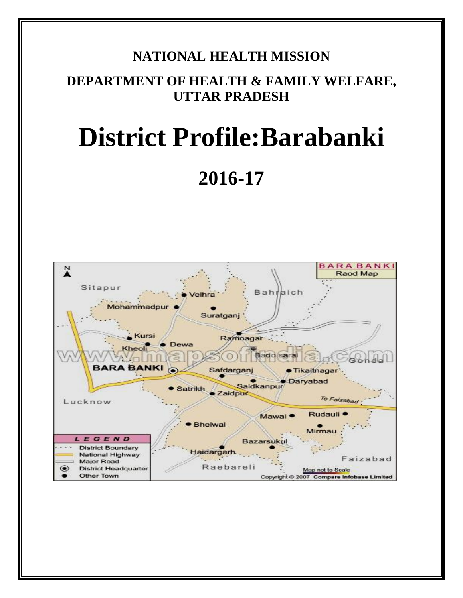# **NATIONAL HEALTH MISSION**

# **DEPARTMENT OF HEALTH & FAMILY WELFARE, UTTAR PRADESH**

# **District Profile:Barabanki**

**2016-17**

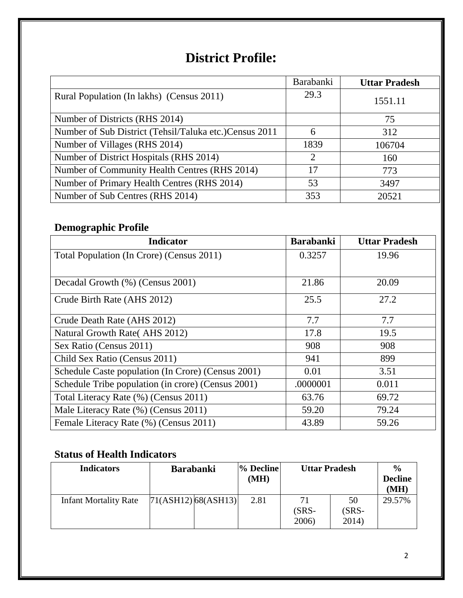# **District Profile:**

|                                                        | <b>Barabanki</b> | <b>Uttar Pradesh</b> |
|--------------------------------------------------------|------------------|----------------------|
| Rural Population (In lakhs) (Census 2011)              | 29.3             | 1551.11              |
| Number of Districts (RHS 2014)                         |                  | 75                   |
| Number of Sub District (Tehsil/Taluka etc.)Census 2011 | 6                | 312                  |
| Number of Villages (RHS 2014)                          | 1839             | 106704               |
| Number of District Hospitals (RHS 2014)                | 2                | 160                  |
| Number of Community Health Centres (RHS 2014)          | 17               | 773                  |
| Number of Primary Health Centres (RHS 2014)            | 53               | 3497                 |
| Number of Sub Centres (RHS 2014)                       | 353              | 20521                |

# **Demographic Profile**

| <b>Indicator</b>                                   | <b>Barabanki</b> | <b>Uttar Pradesh</b> |
|----------------------------------------------------|------------------|----------------------|
| Total Population (In Crore) (Census 2011)          | 0.3257           | 19.96                |
|                                                    |                  |                      |
| Decadal Growth (%) (Census 2001)                   | 21.86            | 20.09                |
| Crude Birth Rate (AHS 2012)                        | 25.5             | 27.2                 |
| Crude Death Rate (AHS 2012)                        | 7.7              | 7.7                  |
| Natural Growth Rate (AHS 2012)                     | 17.8             | 19.5                 |
| Sex Ratio (Census 2011)                            | 908              | 908                  |
| Child Sex Ratio (Census 2011)                      | 941              | 899                  |
| Schedule Caste population (In Crore) (Census 2001) | 0.01             | 3.51                 |
| Schedule Tribe population (in crore) (Census 2001) | .0000001         | 0.011                |
| Total Literacy Rate (%) (Census 2011)              | 63.76            | 69.72                |
| Male Literacy Rate (%) (Census 2011)               | 59.20            | 79.24                |
| Female Literacy Rate (%) (Census 2011)             | 43.89            | 59.26                |

# **Status of Health Indicators**

| <b>Indicators</b>            | <b>Barabanki</b>       | % Decline<br>(MH) | <b>Uttar Pradesh</b>   |                        | $\frac{0}{0}$<br><b>Decline</b><br>(MH) |
|------------------------------|------------------------|-------------------|------------------------|------------------------|-----------------------------------------|
| <b>Infant Mortality Rate</b> | $[71(ASH12)$ 68(ASH13) | 2.81              | 71<br>$(SRS-$<br>2006) | 50<br>$(SRS-$<br>2014) | 29.57%                                  |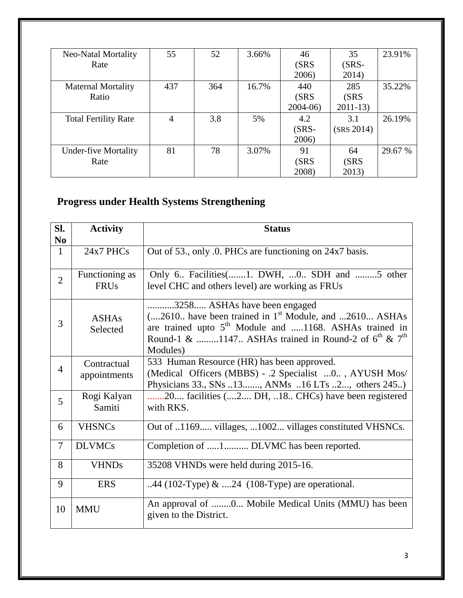| <b>Neo-Natal Mortality</b>  | 55             | 52  | 3.66% | 46        | 35         | 23.91%  |
|-----------------------------|----------------|-----|-------|-----------|------------|---------|
| Rate                        |                |     |       | (SRS)     | $(SRS-$    |         |
|                             |                |     |       | 2006)     | 2014)      |         |
| <b>Maternal Mortality</b>   | 437            | 364 | 16.7% | 440       | 285        | 35.22%  |
| Ratio                       |                |     |       | (SRS)     | (SRS       |         |
|                             |                |     |       | $2004-06$ | $2011-13$  |         |
| <b>Total Fertility Rate</b> | $\overline{4}$ | 3.8 | 5%    | 4.2       | 3.1        | 26.19%  |
|                             |                |     |       | $(SRS -$  | (SRS 2014) |         |
|                             |                |     |       | 2006)     |            |         |
| <b>Under-five Mortality</b> | 81             | 78  | 3.07% | 91        | 64         | 29.67 % |
| Rate                        |                |     |       | (SRS)     | (SRS       |         |
|                             |                |     |       | 2008)     | 2013)      |         |

# **Progress under Health Systems Strengthening**

| SI.            | <b>Activity</b>               | <b>Status</b>                                                                                                                                                                                                                                              |
|----------------|-------------------------------|------------------------------------------------------------------------------------------------------------------------------------------------------------------------------------------------------------------------------------------------------------|
| N <sub>0</sub> |                               |                                                                                                                                                                                                                                                            |
| $\mathbf{1}$   | 24x7 PHCs                     | Out of 53., only .0. PHCs are functioning on 24x7 basis.                                                                                                                                                                                                   |
| $\overline{2}$ | Functioning as<br><b>FRUs</b> | Only 6. Facilities (1. DWH,  0 SDH and  5 other<br>level CHC and others level) are working as FRUs                                                                                                                                                         |
| 3              | <b>ASHAs</b><br>Selected      | 3258 ASHAs have been engaged<br>$(2610)$ have been trained in 1 <sup>st</sup> Module, and $2610$ ASHAs<br>are trained upto 5 <sup>th</sup> Module and 1168. ASHAs trained in<br>Round-1 & 1147 ASHAs trained in Round-2 of $6^{th}$ & $7^{th}$<br>Modules) |
| $\overline{4}$ | Contractual<br>appointments   | 533 Human Resource (HR) has been approved.<br>(Medical Officers (MBBS) - .2 Specialist  0, AYUSH Mos/<br>Physicians 33., SNs 13, ANMs 16 LTs 2, others 245)                                                                                                |
| 5              | Rogi Kalyan<br>Samiti         | 20 facilities (2 DH, 18 CHCs) have been registered<br>with RKS.                                                                                                                                                                                            |
| 6              | <b>VHSNCs</b>                 | Out of 1169 villages, 1002 villages constituted VHSNCs.                                                                                                                                                                                                    |
| $\overline{7}$ | <b>DLVMCs</b>                 | Completion of 1 DLVMC has been reported.                                                                                                                                                                                                                   |
| 8              | <b>VHNDs</b>                  | 35208 VHNDs were held during 2015-16.                                                                                                                                                                                                                      |
| 9              | <b>ERS</b>                    | 44 (102-Type) $\&$ 24 (108-Type) are operational.                                                                                                                                                                                                          |
| 10             | <b>MMU</b>                    | An approval of 0 Mobile Medical Units (MMU) has been<br>given to the District.                                                                                                                                                                             |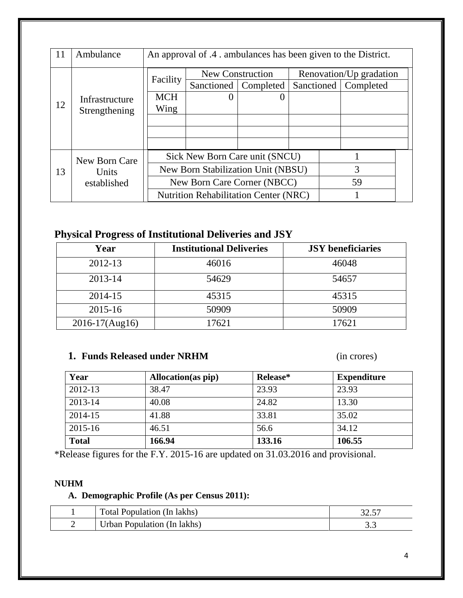| 11 | Ambulance      | An approval of .4 . ambulances has been given to the District. |                                              |                  |            |                         |           |  |
|----|----------------|----------------------------------------------------------------|----------------------------------------------|------------------|------------|-------------------------|-----------|--|
|    |                |                                                                |                                              | New Construction |            | Renovation/Up gradation |           |  |
|    |                | Facility                                                       | Sanctioned                                   | Completed        | Sanctioned |                         | Completed |  |
|    | Infrastructure | <b>MCH</b>                                                     | $\theta$                                     |                  |            |                         |           |  |
| 12 | Strengthening  | Wing                                                           |                                              |                  |            |                         |           |  |
|    |                |                                                                |                                              |                  |            |                         |           |  |
|    |                |                                                                |                                              |                  |            |                         |           |  |
|    |                |                                                                |                                              |                  |            |                         |           |  |
|    | New Born Care  | Sick New Born Care unit (SNCU)                                 |                                              |                  |            |                         |           |  |
| 13 | Units          |                                                                | New Born Stabilization Unit (NBSU)           |                  |            |                         | 3         |  |
|    | established    |                                                                | New Born Care Corner (NBCC)                  |                  |            |                         | 59        |  |
|    |                |                                                                | <b>Nutrition Rehabilitation Center (NRC)</b> |                  |            |                         |           |  |

### **Physical Progress of Institutional Deliveries and JSY**

| Year               | <b>Institutional Deliveries</b> | <b>JSY</b> beneficiaries |
|--------------------|---------------------------------|--------------------------|
| 2012-13            | 46016                           | 46048                    |
| 2013-14            | 54629                           | 54657                    |
| 2014-15            | 45315                           | 45315                    |
| $2015 - 16$        | 50909                           | 50909                    |
| $2016 - 17(Aug16)$ | 17621                           | 17621                    |

#### **1. Funds Released under NRHM** (in crores)

| Year         | Allocation (as pip) | Release* | <b>Expenditure</b> |
|--------------|---------------------|----------|--------------------|
| 2012-13      | 38.47               | 23.93    | 23.93              |
| 2013-14      | 40.08               | 24.82    | 13.30              |
| 2014-15      | 41.88               | 33.81    | 35.02              |
| 2015-16      | 46.51               | 56.6     | 34.12              |
| <b>Total</b> | 166.94              | 133.16   | 106.55             |

\*Release figures for the F.Y. 2015-16 are updated on 31.03.2016 and provisional.

#### **NUHM**

### **A. Demographic Profile (As per Census 2011):**

| Total Population (In lakhs) |     |
|-----------------------------|-----|
| Urban Population (In lakhs) | ◡.◡ |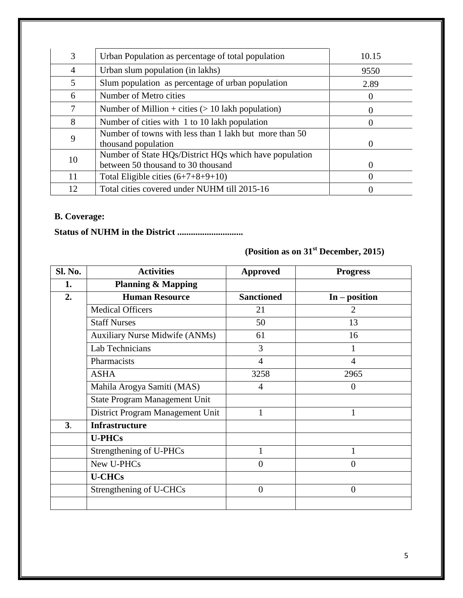| 3              | Urban Population as percentage of total population                                           | 10.15    |
|----------------|----------------------------------------------------------------------------------------------|----------|
| $\overline{4}$ | Urban slum population (in lakhs)                                                             | 9550     |
| 5              | Slum population as percentage of urban population                                            | 2.89     |
| 6              | Number of Metro cities                                                                       |          |
|                | Number of Million + cities $(> 10$ lakh population)                                          | $\theta$ |
| 8              | Number of cities with 1 to 10 lakh population                                                |          |
| 9              | Number of towns with less than 1 lakh but more than 50<br>thousand population                |          |
| 10             | Number of State HQs/District HQs which have population<br>between 50 thousand to 30 thousand | $\theta$ |
| 11             | Total Eligible cities $(6+7+8+9+10)$                                                         |          |
| 12             | Total cities covered under NUHM till 2015-16                                                 |          |

#### **B. Coverage:**

**Status of NUHM in the District .............................**

**(Position as on 31st December, 2015)**

| Sl. No. | <b>Activities</b>                     | <b>Approved</b>   | <b>Progress</b> |
|---------|---------------------------------------|-------------------|-----------------|
| 1.      | <b>Planning &amp; Mapping</b>         |                   |                 |
| 2.      | <b>Human Resource</b>                 | <b>Sanctioned</b> | $In - position$ |
|         | <b>Medical Officers</b>               | 21                | 2               |
|         | <b>Staff Nurses</b>                   | 50                | 13              |
|         | <b>Auxiliary Nurse Midwife (ANMs)</b> | 61                | 16              |
|         | Lab Technicians                       | 3                 |                 |
|         | Pharmacists                           | $\overline{4}$    | $\overline{4}$  |
|         | <b>ASHA</b>                           | 3258              | 2965            |
|         | Mahila Arogya Samiti (MAS)            | $\overline{4}$    | $\Omega$        |
|         | <b>State Program Management Unit</b>  |                   |                 |
|         | District Program Management Unit      |                   |                 |
| 3.      | <b>Infrastructure</b>                 |                   |                 |
|         | <b>U-PHCs</b>                         |                   |                 |
|         | Strengthening of U-PHCs               | 1                 |                 |
|         | New U-PHCs                            | $\theta$          | $\Omega$        |
|         | <b>U-CHCs</b>                         |                   |                 |
|         | Strengthening of U-CHCs               | $\theta$          | $\Omega$        |
|         |                                       |                   |                 |